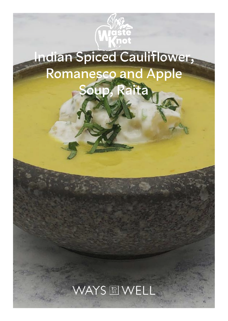

# **Indian Spiced Cauliflower, Romanesco and Apple**  Soup,

## WAYS RIWELL